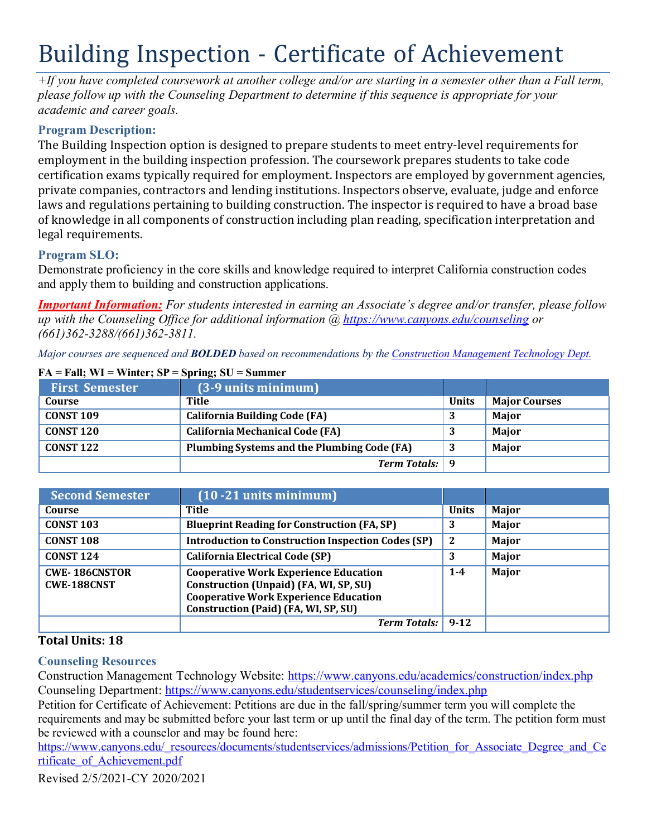# Building Inspection - Certificate of Achievement

*+If you have completed coursework at another college and/or are starting in a semester other than a Fall term, please follow up with the Counseling Department to determine if this sequence is appropriate for your academic and career goals.*

## **Program Description:**

The Building Inspection option is designed to prepare students to meet entry-level requirements for employment in the building inspection profession. The coursework prepares students to take code certification exams typically required for employment. Inspectors are employed by government agencies, private companies, contractors and lending institutions. Inspectors observe, evaluate, judge and enforce laws and regulations pertaining to building construction. The inspector is required to have a broad base of knowledge in all components of construction including plan reading, specification interpretation and legal requirements.

## **Program SLO:**

Demonstrate proficiency in the core skills and knowledge required to interpret California construction codes and apply them to building and construction applications.

*Important Information: For students interested in earning an Associate's degree and/or transfer, please follow up with the Counseling Office for additional information @ https:/[/www.canyons.edu/counseling](http://www.canyons.edu/counseling) or (661)362-3288/(661)362-3811.*

*Major courses are sequenced and BOLDED based on recommendations by the Construction Management Technology Dept.*

| <b>First Semester</b> | (3-9 units minimum)                         |              |                      |
|-----------------------|---------------------------------------------|--------------|----------------------|
| Course                | Title                                       | <b>Units</b> | <b>Major Courses</b> |
| <b>CONST 109</b>      | <b>California Building Code (FA)</b>        |              | Major                |
| <b>CONST 120</b>      | <b>California Mechanical Code (FA)</b>      |              | Major                |
| <b>CONST 122</b>      | Plumbing Systems and the Plumbing Code (FA) | 3            | <b>Major</b>         |
|                       | <b>Term Totals:</b> 9                       |              |                      |

#### $FA = Fall$ ;  $WI = Winter$ ;  $SP = Spring$ ;  $SU = Summer$

| <b>Second Semester</b>                     | $(10 - 21$ units minimum)                                                                                                                                                      |              |              |
|--------------------------------------------|--------------------------------------------------------------------------------------------------------------------------------------------------------------------------------|--------------|--------------|
| Course                                     | Title                                                                                                                                                                          | <b>Units</b> | Major        |
| <b>CONST 103</b>                           | <b>Blueprint Reading for Construction (FA, SP)</b>                                                                                                                             | 3            | Major        |
| <b>CONST 108</b>                           | <b>Introduction to Construction Inspection Codes (SP)</b>                                                                                                                      | $\mathbf{2}$ | Major        |
| <b>CONST 124</b>                           | <b>California Electrical Code (SP)</b>                                                                                                                                         | 3            | Major        |
| <b>CWE-186CNSTOR</b><br><b>CWE-188CNST</b> | <b>Cooperative Work Experience Education</b><br>Construction (Unpaid) (FA, WI, SP, SU)<br><b>Cooperative Work Experience Education</b><br>Construction (Paid) (FA, WI, SP, SU) | $1 - 4$      | <b>Major</b> |
|                                            | <b>Term Totals:</b>                                                                                                                                                            | $9 - 12$     |              |

## **Total Units: 18**

**Counseling Resources**

Construction Management Technology Website: https:/[/www.canyons.edu/academics/construction/index.php](http://www.canyons.edu/academics/construction/index.php) Counseling Department: https:/[/www.canyons.edu/studentservices/counseling/index.php](http://www.canyons.edu/studentservices/counseling/index.php)

Petition for Certificate of Achievement: Petitions are due in the fall/spring/summer term you will complete the requirements and may be submitted before your last term or up until the final day of the term. The petition form must be reviewed with a counselor and may be found here:

https:/[/www.canyons.edu/\\_resources/documents/studentservices/admissions/Petition\\_for\\_Associate\\_Degree\\_and\\_Ce](http://www.canyons.edu/_resources/documents/studentservices/admissions/Petition_for_Associate_Degree_and_Ce) rtificate\_of\_Achievement.pdf

Revised 2/5/2021-CY 2020/2021